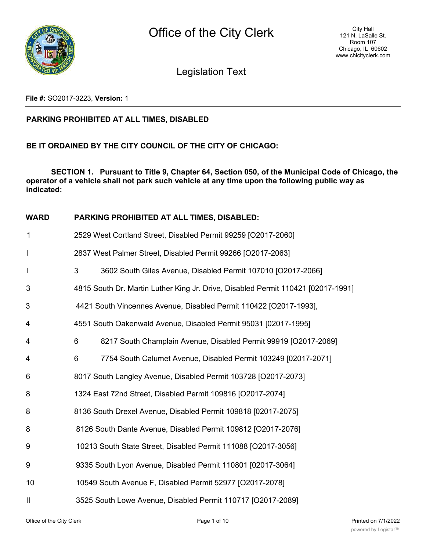

Legislation Text

**File #:** SO2017-3223, **Version:** 1

### **PARKING PROHIBITED AT ALL TIMES, DISABLED**

### **BE IT ORDAINED BY THE CITY COUNCIL OF THE CITY OF CHICAGO:**

**SECTION 1. Pursuant to Title 9, Chapter 64, Section 050, of the Municipal Code of Chicago, the operator of a vehicle shall not park such vehicle at any time upon the following public way as indicated:**

### **WARD PARKING PROHIBITED AT ALL TIMES, DISABLED:**

| $\mathbf 1$              | 2529 West Cortland Street, Disabled Permit 99259 [O2017-2060]                    |
|--------------------------|----------------------------------------------------------------------------------|
| $\overline{\phantom{a}}$ | 2837 West Palmer Street, Disabled Permit 99266 [O2017-2063]                      |
| $\mathsf I$              | 3<br>3602 South Giles Avenue, Disabled Permit 107010 [O2017-2066]                |
| 3                        | 4815 South Dr. Martin Luther King Jr. Drive, Disabled Permit 110421 [02017-1991] |
| 3                        | 4421 South Vincennes Avenue, Disabled Permit 110422 [O2017-1993],                |
| 4                        | 4551 South Oakenwald Avenue, Disabled Permit 95031 [02017-1995]                  |
| 4                        | 6<br>8217 South Champlain Avenue, Disabled Permit 99919 [O2017-2069]             |
| 4                        | 6<br>7754 South Calumet Avenue, Disabled Permit 103249 [02017-2071]              |
| 6                        | 8017 South Langley Avenue, Disabled Permit 103728 [O2017-2073]                   |
| 8                        | 1324 East 72nd Street, Disabled Permit 109816 [O2017-2074]                       |
| 8                        | 8136 South Drexel Avenue, Disabled Permit 109818 [02017-2075]                    |
| 8                        | 8126 South Dante Avenue, Disabled Permit 109812 [O2017-2076]                     |
| 9                        | 10213 South State Street, Disabled Permit 111088 [O2017-3056]                    |
| 9                        | 9335 South Lyon Avenue, Disabled Permit 110801 [02017-3064]                      |
| 10                       | 10549 South Avenue F, Disabled Permit 52977 [O2017-2078]                         |
| $\mathbf{\mathsf{I}}$    | 3525 South Lowe Avenue, Disabled Permit 110717 [O2017-2089]                      |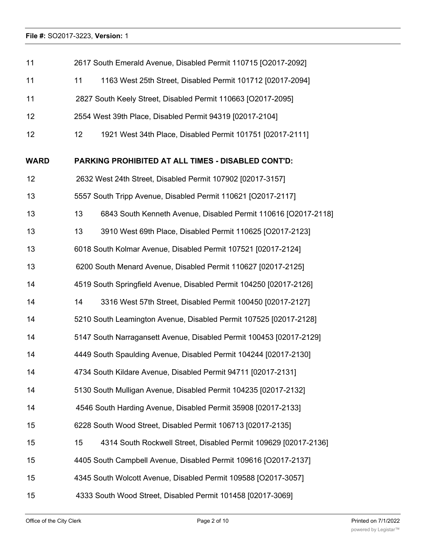| 11          | 2617 South Emerald Avenue, Disabled Permit 110715 [O2017-2092]               |  |  |  |
|-------------|------------------------------------------------------------------------------|--|--|--|
| 11          | 11<br>1163 West 25th Street, Disabled Permit 101712 [02017-2094]             |  |  |  |
| 11          | 2827 South Keely Street, Disabled Permit 110663 [O2017-2095]                 |  |  |  |
| 12          | 2554 West 39th Place, Disabled Permit 94319 [02017-2104]                     |  |  |  |
| 12          | 1921 West 34th Place, Disabled Permit 101751 [02017-2111]<br>12 <sup>°</sup> |  |  |  |
| <b>WARD</b> | PARKING PROHIBITED AT ALL TIMES - DISABLED CONT'D:                           |  |  |  |
| 12          | 2632 West 24th Street, Disabled Permit 107902 [02017-3157]                   |  |  |  |
| 13          | 5557 South Tripp Avenue, Disabled Permit 110621 [O2017-2117]                 |  |  |  |
| 13          | 13<br>6843 South Kenneth Avenue, Disabled Permit 110616 [O2017-2118]         |  |  |  |
| 13          | 13<br>3910 West 69th Place, Disabled Permit 110625 [O2017-2123]              |  |  |  |
| 13          | 6018 South Kolmar Avenue, Disabled Permit 107521 [02017-2124]                |  |  |  |
| 13          | 6200 South Menard Avenue, Disabled Permit 110627 [02017-2125]                |  |  |  |
| 14          | 4519 South Springfield Avenue, Disabled Permit 104250 [02017-2126]           |  |  |  |
| 14          | 3316 West 57th Street, Disabled Permit 100450 [02017-2127]<br>14             |  |  |  |
| 14          | 5210 South Leamington Avenue, Disabled Permit 107525 [02017-2128]            |  |  |  |
| 14          | 5147 South Narragansett Avenue, Disabled Permit 100453 [02017-2129]          |  |  |  |
| 14          | 4449 South Spaulding Avenue, Disabled Permit 104244 [02017-2130]             |  |  |  |
| 14          | 4734 South Kildare Avenue, Disabled Permit 94711 [02017-2131]                |  |  |  |
| 14          | 5130 South Mulligan Avenue, Disabled Permit 104235 [02017-2132]              |  |  |  |
| 14          | 4546 South Harding Avenue, Disabled Permit 35908 [02017-2133]                |  |  |  |
| 15          | 6228 South Wood Street, Disabled Permit 106713 [02017-2135]                  |  |  |  |
| 15          | 15<br>4314 South Rockwell Street, Disabled Permit 109629 [02017-2136]        |  |  |  |
| 15          | 4405 South Campbell Avenue, Disabled Permit 109616 [O2017-2137]              |  |  |  |
| 15          | 4345 South Wolcott Avenue, Disabled Permit 109588 [O2017-3057]               |  |  |  |
| 15          | 4333 South Wood Street, Disabled Permit 101458 [02017-3069]                  |  |  |  |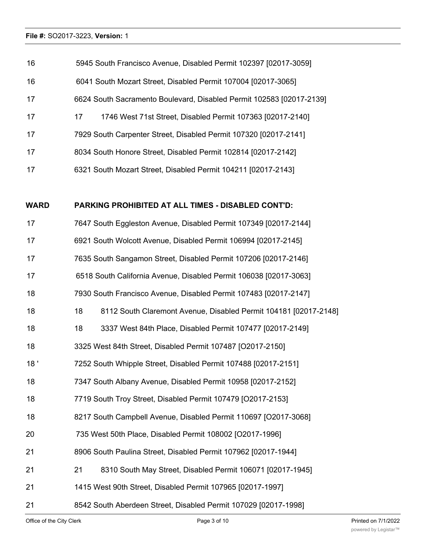| 16          | 5945 South Francisco Avenue, Disabled Permit 102397 [02017-3059]     |  |  |  |
|-------------|----------------------------------------------------------------------|--|--|--|
| 16          | 6041 South Mozart Street, Disabled Permit 107004 [02017-3065]        |  |  |  |
| 17          | 6624 South Sacramento Boulevard, Disabled Permit 102583 [02017-2139] |  |  |  |
| 17          | 17<br>1746 West 71st Street, Disabled Permit 107363 [02017-2140]     |  |  |  |
| 17          | 7929 South Carpenter Street, Disabled Permit 107320 [02017-2141]     |  |  |  |
| 17          | 8034 South Honore Street, Disabled Permit 102814 [02017-2142]        |  |  |  |
| 17          | 6321 South Mozart Street, Disabled Permit 104211 [02017-2143]        |  |  |  |
|             |                                                                      |  |  |  |
|             |                                                                      |  |  |  |
| <b>WARD</b> | <b>PARKING PROHIBITED AT ALL TIMES - DISABLED CONT'D:</b>            |  |  |  |
| 17          | 7647 South Eggleston Avenue, Disabled Permit 107349 [02017-2144]     |  |  |  |
| 17          | 6921 South Wolcott Avenue, Disabled Permit 106994 [02017-2145]       |  |  |  |
| 17          | 7635 South Sangamon Street, Disabled Permit 107206 [02017-2146]      |  |  |  |
| 17          | 6518 South California Avenue, Disabled Permit 106038 [02017-3063]    |  |  |  |
| 18          | 7930 South Francisco Avenue, Disabled Permit 107483 [02017-2147]     |  |  |  |

- 18 3337 West 84th Place, Disabled Permit 107477 [02017-2149]
- 3325 West 84th Street, Disabled Permit 107487 [O2017-2150]
- 18 ' 7252 South Whipple Street, Disabled Permit 107488 [02017-2151]
- 7347 South Albany Avenue, Disabled Permit 10958 [02017-2152]
- 7719 South Troy Street, Disabled Permit 107479 [O2017-2153]
- 8217 South Campbell Avenue, Disabled Permit 110697 [O2017-3068]
- 735 West 50th Place, Disabled Permit 108002 [O2017-1996]
- 8906 South Paulina Street, Disabled Permit 107962 [02017-1944]
- 21 8310 South May Street, Disabled Permit 106071 [02017-1945]
- 1415 West 90th Street, Disabled Permit 107965 [02017-1997]
- 8542 South Aberdeen Street, Disabled Permit 107029 [02017-1998]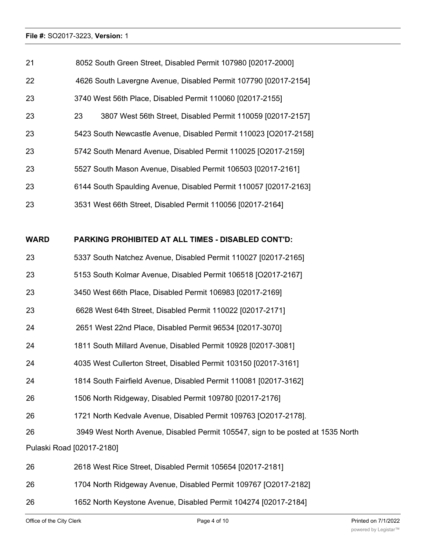| 21   | 8052 South Green Street, Disabled Permit 107980 [02017-2000]                    |
|------|---------------------------------------------------------------------------------|
| 22   | 4626 South Lavergne Avenue, Disabled Permit 107790 [02017-2154]                 |
| 23   | 3740 West 56th Place, Disabled Permit 110060 [02017-2155]                       |
| 23   | 23<br>3807 West 56th Street, Disabled Permit 110059 [02017-2157]                |
| 23   | 5423 South Newcastle Avenue, Disabled Permit 110023 [O2017-2158]                |
| 23   | 5742 South Menard Avenue, Disabled Permit 110025 [O2017-2159]                   |
| 23   | 5527 South Mason Avenue, Disabled Permit 106503 [02017-2161]                    |
| 23   | 6144 South Spaulding Avenue, Disabled Permit 110057 [02017-2163]                |
| 23   | 3531 West 66th Street, Disabled Permit 110056 [02017-2164]                      |
|      |                                                                                 |
| WARD | PARKING PROHIBITED AT ALL TIMES - DISABLED CONT'D:                              |
| 23   | 5337 South Natchez Avenue, Disabled Permit 110027 [02017-2165]                  |
| 23   | 5153 South Kolmar Avenue, Disabled Permit 106518 [O2017-2167]                   |
| 23   | 3450 West 66th Place, Disabled Permit 106983 [02017-2169]                       |
| 23   | 6628 West 64th Street, Disabled Permit 110022 [02017-2171]                      |
| 24   | 2651 West 22nd Place, Disabled Permit 96534 [02017-3070]                        |
| 24   | 1811 South Millard Avenue, Disabled Permit 10928 [02017-3081]                   |
| 24   | 4035 West Cullerton Street, Disabled Permit 103150 [02017-3161]                 |
| 24   | 1814 South Fairfield Avenue, Disabled Permit 110081 [02017-3162]                |
| 26   | 1506 North Ridgeway, Disabled Permit 109780 [02017-2176]                        |
| 26   | 1721 North Kedvale Avenue, Disabled Permit 109763 [O2017-2178].                 |
| 26   | 3949 West North Avenue, Disabled Permit 105547, sign to be posted at 1535 North |
|      | Pulaski Road [02017-2180]                                                       |
| 26   | 2618 West Rice Street, Disabled Permit 105654 [02017-2181]                      |
|      |                                                                                 |

- 1704 North Ridgeway Avenue, Disabled Permit 109767 [O2017-2182]
- 1652 North Keystone Avenue, Disabled Permit 104274 [02017-2184]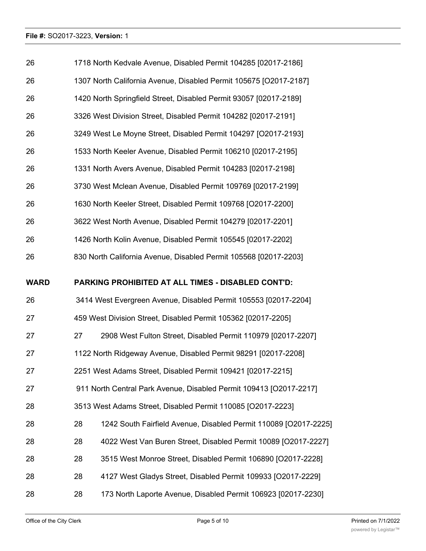| 26          | 1718 North Kedvale Avenue, Disabled Permit 104285 [02017-2186]         |  |  |  |
|-------------|------------------------------------------------------------------------|--|--|--|
| 26          | 1307 North California Avenue, Disabled Permit 105675 [O2017-2187]      |  |  |  |
| 26          | 1420 North Springfield Street, Disabled Permit 93057 [02017-2189]      |  |  |  |
| 26          | 3326 West Division Street, Disabled Permit 104282 [02017-2191]         |  |  |  |
| 26          | 3249 West Le Moyne Street, Disabled Permit 104297 [O2017-2193]         |  |  |  |
| 26          | 1533 North Keeler Avenue, Disabled Permit 106210 [02017-2195]          |  |  |  |
| 26          | 1331 North Avers Avenue, Disabled Permit 104283 [02017-2198]           |  |  |  |
| 26          | 3730 West Mclean Avenue, Disabled Permit 109769 [02017-2199]           |  |  |  |
| 26          | 1630 North Keeler Street, Disabled Permit 109768 [O2017-2200]          |  |  |  |
| 26          | 3622 West North Avenue, Disabled Permit 104279 [02017-2201]            |  |  |  |
| 26          | 1426 North Kolin Avenue, Disabled Permit 105545 [02017-2202]           |  |  |  |
| 26          | 830 North California Avenue, Disabled Permit 105568 [02017-2203]       |  |  |  |
| <b>WARD</b> | PARKING PROHIBITED AT ALL TIMES - DISABLED CONT'D:                     |  |  |  |
| 26          | 3414 West Evergreen Avenue, Disabled Permit 105553 [02017-2204]        |  |  |  |
| 27          | 459 West Division Street, Disabled Permit 105362 [02017-2205]          |  |  |  |
| 27          | 2908 West Fulton Street, Disabled Permit 110979 [02017-2207]<br>27     |  |  |  |
| 27          | 1122 North Ridgeway Avenue, Disabled Permit 98291 [02017-2208]         |  |  |  |
| 27          | 2251 West Adams Street, Disabled Permit 109421 [02017-2215]            |  |  |  |
| 27          | 911 North Central Park Avenue, Disabled Permit 109413 [O2017-2217]     |  |  |  |
| 28          | 3513 West Adams Street, Disabled Permit 110085 [O2017-2223]            |  |  |  |
| 28          | 28<br>1242 South Fairfield Avenue, Disabled Permit 110089 [O2017-2225] |  |  |  |
| 28          | 28<br>4022 West Van Buren Street, Disabled Permit 10089 [O2017-2227]   |  |  |  |
| 28          | 3515 West Monroe Street, Disabled Permit 106890 [O2017-2228]<br>28     |  |  |  |
| 28          | 4127 West Gladys Street, Disabled Permit 109933 [O2017-2229]<br>28     |  |  |  |
|             |                                                                        |  |  |  |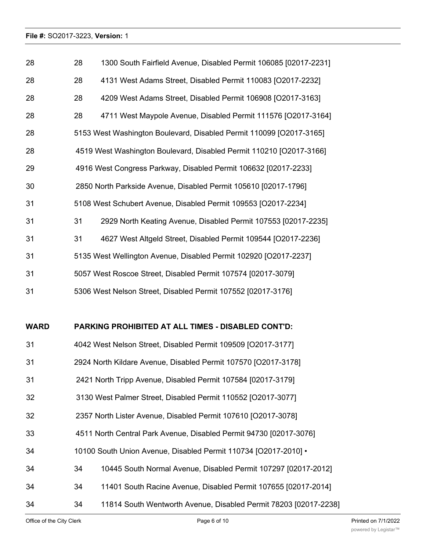| 28          | 28                                                             | 1300 South Fairfield Avenue, Disabled Permit 106085 [02017-2231]    |  |  |
|-------------|----------------------------------------------------------------|---------------------------------------------------------------------|--|--|
| 28          | 28                                                             | 4131 West Adams Street, Disabled Permit 110083 [O2017-2232]         |  |  |
| 28          | 28                                                             | 4209 West Adams Street, Disabled Permit 106908 [O2017-3163]         |  |  |
| 28          | 28                                                             | 4711 West Maypole Avenue, Disabled Permit 111576 [O2017-3164]       |  |  |
| 28          |                                                                | 5153 West Washington Boulevard, Disabled Permit 110099 [O2017-3165] |  |  |
| 28          |                                                                | 4519 West Washington Boulevard, Disabled Permit 110210 [O2017-3166] |  |  |
| 29          |                                                                | 4916 West Congress Parkway, Disabled Permit 106632 [02017-2233]     |  |  |
| 30          |                                                                | 2850 North Parkside Avenue, Disabled Permit 105610 [02017-1796]     |  |  |
| 31          |                                                                | 5108 West Schubert Avenue, Disabled Permit 109553 [O2017-2234]      |  |  |
| 31          | 31                                                             | 2929 North Keating Avenue, Disabled Permit 107553 [02017-2235]      |  |  |
| 31          | 31                                                             | 4627 West Altgeld Street, Disabled Permit 109544 [O2017-2236]       |  |  |
| 31          |                                                                | 5135 West Wellington Avenue, Disabled Permit 102920 [O2017-2237]    |  |  |
| 31          |                                                                | 5057 West Roscoe Street, Disabled Permit 107574 [02017-3079]        |  |  |
| 31          |                                                                | 5306 West Nelson Street, Disabled Permit 107552 [02017-3176]        |  |  |
|             |                                                                |                                                                     |  |  |
| <b>WARD</b> |                                                                | PARKING PROHIBITED AT ALL TIMES - DISABLED CONT'D:                  |  |  |
| 31          |                                                                | 4042 West Nelson Street, Disabled Permit 109509 [O2017-3177]        |  |  |
| 31          | 2924 North Kildare Avenue, Disabled Permit 107570 [O2017-3178] |                                                                     |  |  |
| 31          | 2421 North Tripp Avenue, Disabled Permit 107584 [02017-3179]   |                                                                     |  |  |
| 32          | 3130 West Palmer Street, Disabled Permit 110552 [O2017-3077]   |                                                                     |  |  |
| 32          | 2357 North Lister Avenue, Disabled Permit 107610 [O2017-3078]  |                                                                     |  |  |
| 33          |                                                                | 4511 North Central Park Avenue, Disabled Permit 94730 [02017-3076]  |  |  |
| 34          |                                                                | 10100 South Union Avenue, Disabled Permit 110734 [O2017-2010] •     |  |  |
| 34          | 34                                                             | 10445 South Normal Avenue, Disabled Permit 107297 [02017-2012]      |  |  |
| 34          | 34                                                             | 11401 South Racine Avenue, Disabled Permit 107655 [02017-2014]      |  |  |
| 34          | 34                                                             | 11814 South Wentworth Avenue, Disabled Permit 78203 [02017-2238]    |  |  |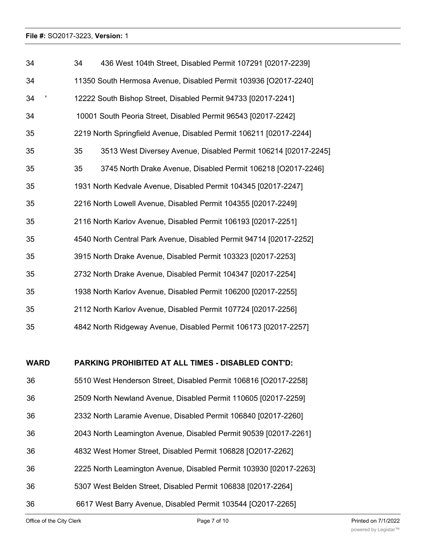| 34          | 34                                                               | 436 West 104th Street, Disabled Permit 107291 [02017-2239]         |  |  |  |
|-------------|------------------------------------------------------------------|--------------------------------------------------------------------|--|--|--|
| 34          | 11350 South Hermosa Avenue, Disabled Permit 103936 [O2017-2240]  |                                                                    |  |  |  |
| 34          | 12222 South Bishop Street, Disabled Permit 94733 [02017-2241]    |                                                                    |  |  |  |
| 34          |                                                                  | 10001 South Peoria Street, Disabled Permit 96543 [02017-2242]      |  |  |  |
| 35          |                                                                  | 2219 North Springfield Avenue, Disabled Permit 106211 [02017-2244] |  |  |  |
| 35          | 35                                                               | 3513 West Diversey Avenue, Disabled Permit 106214 [02017-2245]     |  |  |  |
| 35          | 35                                                               | 3745 North Drake Avenue, Disabled Permit 106218 [O2017-2246]       |  |  |  |
| 35          |                                                                  | 1931 North Kedvale Avenue, Disabled Permit 104345 [02017-2247]     |  |  |  |
| 35          |                                                                  | 2216 North Lowell Avenue, Disabled Permit 104355 [02017-2249]      |  |  |  |
| 35          |                                                                  | 2116 North Karlov Avenue, Disabled Permit 106193 [02017-2251]      |  |  |  |
| 35          |                                                                  | 4540 North Central Park Avenue, Disabled Permit 94714 [02017-2252] |  |  |  |
| 35          |                                                                  | 3915 North Drake Avenue, Disabled Permit 103323 [02017-2253]       |  |  |  |
| 35          |                                                                  | 2732 North Drake Avenue, Disabled Permit 104347 [02017-2254]       |  |  |  |
| 35          |                                                                  | 1938 North Karlov Avenue, Disabled Permit 106200 [02017-2255]      |  |  |  |
| 35          |                                                                  | 2112 North Karlov Avenue, Disabled Permit 107724 [02017-2256]      |  |  |  |
| 35          |                                                                  | 4842 North Ridgeway Avenue, Disabled Permit 106173 [02017-2257]    |  |  |  |
|             |                                                                  |                                                                    |  |  |  |
| <b>WARD</b> |                                                                  | <b>PARKING PROHIBITED AT ALL TIMES - DISABLED CONT'D:</b>          |  |  |  |
| 36          |                                                                  | 5510 West Henderson Street, Disabled Permit 106816 [O2017-2258]    |  |  |  |
| 36          | 2509 North Newland Avenue, Disabled Permit 110605 [02017-2259]   |                                                                    |  |  |  |
| 36          | 2332 North Laramie Avenue, Disabled Permit 106840 [02017-2260]   |                                                                    |  |  |  |
| 36          | 2043 North Leamington Avenue, Disabled Permit 90539 [02017-2261] |                                                                    |  |  |  |
| 36          |                                                                  | 4832 West Homer Street, Disabled Permit 106828 [O2017-2262]        |  |  |  |
| 36          |                                                                  | 2225 North Leamington Avenue, Disabled Permit 103930 [02017-2263]  |  |  |  |
| 36          |                                                                  | 5307 West Belden Street, Disabled Permit 106838 [02017-2264]       |  |  |  |
| 36          |                                                                  | 6617 West Barry Avenue, Disabled Permit 103544 [O2017-2265]        |  |  |  |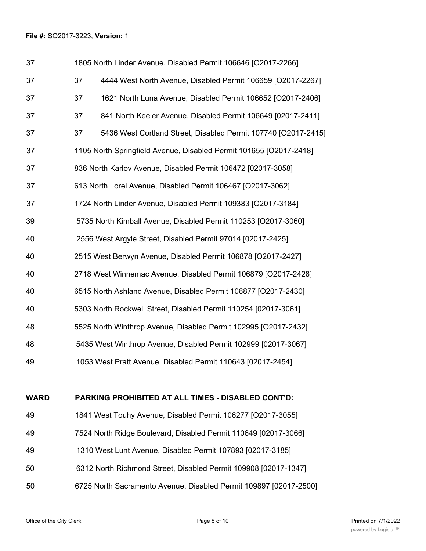| 37          | 1805 North Linder Avenue, Disabled Permit 106646 [O2017-2266]   |                                                                    |  |  |  |
|-------------|-----------------------------------------------------------------|--------------------------------------------------------------------|--|--|--|
| 37          | 37                                                              | 4444 West North Avenue, Disabled Permit 106659 [O2017-2267]        |  |  |  |
| 37          | 37                                                              | 1621 North Luna Avenue, Disabled Permit 106652 [O2017-2406]        |  |  |  |
| 37          | 37                                                              | 841 North Keeler Avenue, Disabled Permit 106649 [02017-2411]       |  |  |  |
| 37          | 37                                                              | 5436 West Cortland Street, Disabled Permit 107740 [O2017-2415]     |  |  |  |
| 37          |                                                                 | 1105 North Springfield Avenue, Disabled Permit 101655 [O2017-2418] |  |  |  |
| 37          |                                                                 | 836 North Karlov Avenue, Disabled Permit 106472 [02017-3058]       |  |  |  |
| 37          |                                                                 | 613 North Lorel Avenue, Disabled Permit 106467 [O2017-3062]        |  |  |  |
| 37          |                                                                 | 1724 North Linder Avenue, Disabled Permit 109383 [O2017-3184]      |  |  |  |
| 39          |                                                                 | 5735 North Kimball Avenue, Disabled Permit 110253 [O2017-3060]     |  |  |  |
| 40          |                                                                 | 2556 West Argyle Street, Disabled Permit 97014 [02017-2425]        |  |  |  |
| 40          |                                                                 | 2515 West Berwyn Avenue, Disabled Permit 106878 [O2017-2427]       |  |  |  |
| 40          | 2718 West Winnemac Avenue, Disabled Permit 106879 [O2017-2428]  |                                                                    |  |  |  |
| 40          |                                                                 | 6515 North Ashland Avenue, Disabled Permit 106877 [O2017-2430]     |  |  |  |
| 40          |                                                                 | 5303 North Rockwell Street, Disabled Permit 110254 [02017-3061]    |  |  |  |
| 48          | 5525 North Winthrop Avenue, Disabled Permit 102995 [O2017-2432] |                                                                    |  |  |  |
| 48          |                                                                 | 5435 West Winthrop Avenue, Disabled Permit 102999 [02017-3067]     |  |  |  |
| 49          |                                                                 | 1053 West Pratt Avenue, Disabled Permit 110643 [02017-2454]        |  |  |  |
|             |                                                                 |                                                                    |  |  |  |
| <b>WARD</b> |                                                                 | PARKING PROHIBITED AT ALL TIMES - DISABLED CONT'D:                 |  |  |  |
| 49          |                                                                 | 1841 West Touhy Avenue, Disabled Permit 106277 [O2017-3055]        |  |  |  |

- 
- 7524 North Ridge Boulevard, Disabled Permit 110649 [02017-3066]
- 1310 West Lunt Avenue, Disabled Permit 107893 [02017-3185]
- 6312 North Richmond Street, Disabled Permit 109908 [02017-1347]
- 6725 North Sacramento Avenue, Disabled Permit 109897 [02017-2500]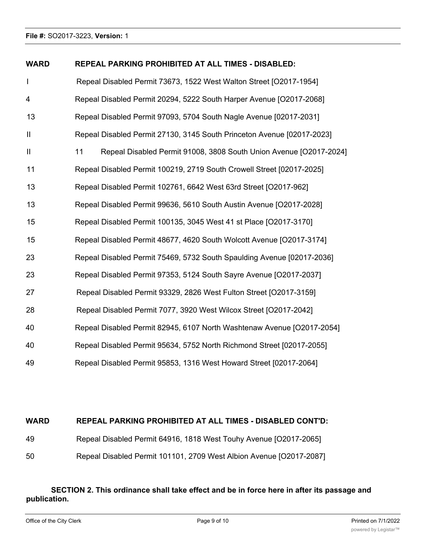# **WARD REPEAL PARKING PROHIBITED AT ALL TIMES - DISABLED:**

| I             | Repeal Disabled Permit 73673, 1522 West Walton Street [O2017-1954]       |
|---------------|--------------------------------------------------------------------------|
| 4             | Repeal Disabled Permit 20294, 5222 South Harper Avenue [O2017-2068]      |
| 13            | Repeal Disabled Permit 97093, 5704 South Nagle Avenue [02017-2031]       |
| $\vert\vert$  | Repeal Disabled Permit 27130, 3145 South Princeton Avenue [02017-2023]   |
| $\mathbf{  }$ | Repeal Disabled Permit 91008, 3808 South Union Avenue [O2017-2024]<br>11 |
| 11            | Repeal Disabled Permit 100219, 2719 South Crowell Street [02017-2025]    |
| 13            | Repeal Disabled Permit 102761, 6642 West 63rd Street [O2017-962]         |
| 13            | Repeal Disabled Permit 99636, 5610 South Austin Avenue [O2017-2028]      |
| 15            | Repeal Disabled Permit 100135, 3045 West 41 st Place [O2017-3170]        |
| 15            | Repeal Disabled Permit 48677, 4620 South Wolcott Avenue [O2017-3174]     |
| 23            | Repeal Disabled Permit 75469, 5732 South Spaulding Avenue [02017-2036]   |
| 23            | Repeal Disabled Permit 97353, 5124 South Sayre Avenue [O2017-2037]       |
| 27            | Repeal Disabled Permit 93329, 2826 West Fulton Street [O2017-3159]       |
| 28            | Repeal Disabled Permit 7077, 3920 West Wilcox Street [O2017-2042]        |
| 40            | Repeal Disabled Permit 82945, 6107 North Washtenaw Avenue [O2017-2054]   |
| 40            | Repeal Disabled Permit 95634, 5752 North Richmond Street [02017-2055]    |
| 49            | Repeal Disabled Permit 95853, 1316 West Howard Street [02017-2064]       |

# **WARD REPEAL PARKING PROHIBITED AT ALL TIMES - DISABLED CONT'D:**

| 49 | Repeal Disabled Permit 64916, 1818 West Touhy Avenue [O2017-2065] |  |  |
|----|-------------------------------------------------------------------|--|--|
|    |                                                                   |  |  |

Repeal Disabled Permit 101101, 2709 West Albion Avenue [O2017-2087]

# **SECTION 2. This ordinance shall take effect and be in force here in after its passage and publication.**